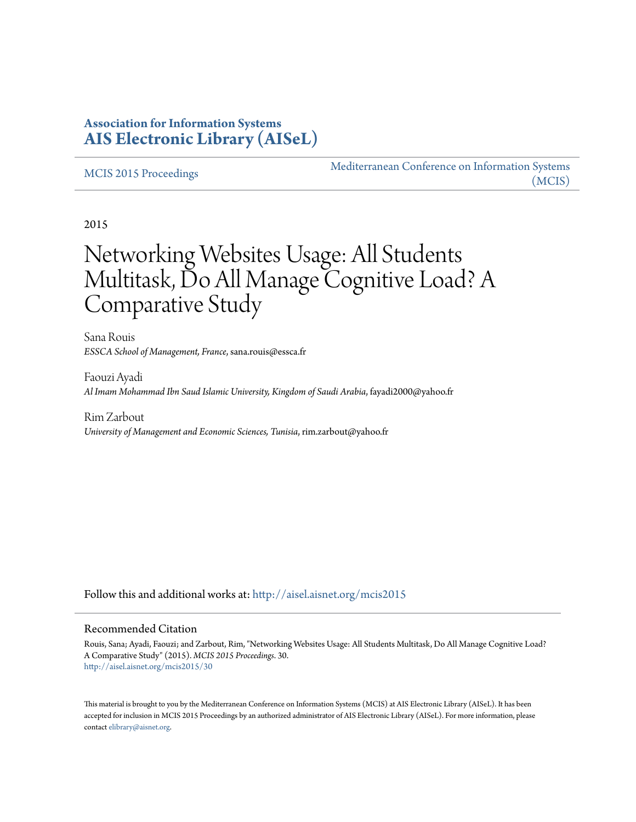# **Association for Information Systems [AIS Electronic Library \(AISeL\)](http://aisel.aisnet.org?utm_source=aisel.aisnet.org%2Fmcis2015%2F30&utm_medium=PDF&utm_campaign=PDFCoverPages)**

#### [MCIS 2015 Proceedings](http://aisel.aisnet.org/mcis2015?utm_source=aisel.aisnet.org%2Fmcis2015%2F30&utm_medium=PDF&utm_campaign=PDFCoverPages)

[Mediterranean Conference on Information Systems](http://aisel.aisnet.org/mcis?utm_source=aisel.aisnet.org%2Fmcis2015%2F30&utm_medium=PDF&utm_campaign=PDFCoverPages) [\(MCIS\)](http://aisel.aisnet.org/mcis?utm_source=aisel.aisnet.org%2Fmcis2015%2F30&utm_medium=PDF&utm_campaign=PDFCoverPages)

2015

# Networking Websites Usage: All Students Multitask, Do All Manage Cognitive Load? A Comparative Study

Sana Rouis *ESSCA School of Management, France*, sana.rouis@essca.fr

Faouzi Ayadi *Al Imam Mohammad Ibn Saud Islamic University, Kingdom of Saudi Arabia*, fayadi2000@yahoo.fr

Rim Zarbout *University of Management and Economic Sciences, Tunisia*, rim.zarbout@yahoo.fr

Follow this and additional works at: [http://aisel.aisnet.org/mcis2015](http://aisel.aisnet.org/mcis2015?utm_source=aisel.aisnet.org%2Fmcis2015%2F30&utm_medium=PDF&utm_campaign=PDFCoverPages)

#### Recommended Citation

Rouis, Sana; Ayadi, Faouzi; and Zarbout, Rim, "Networking Websites Usage: All Students Multitask, Do All Manage Cognitive Load? A Comparative Study" (2015). *MCIS 2015 Proceedings*. 30. [http://aisel.aisnet.org/mcis2015/30](http://aisel.aisnet.org/mcis2015/30?utm_source=aisel.aisnet.org%2Fmcis2015%2F30&utm_medium=PDF&utm_campaign=PDFCoverPages)

This material is brought to you by the Mediterranean Conference on Information Systems (MCIS) at AIS Electronic Library (AISeL). It has been accepted for inclusion in MCIS 2015 Proceedings by an authorized administrator of AIS Electronic Library (AISeL). For more information, please contact [elibrary@aisnet.org.](mailto:elibrary@aisnet.org%3E)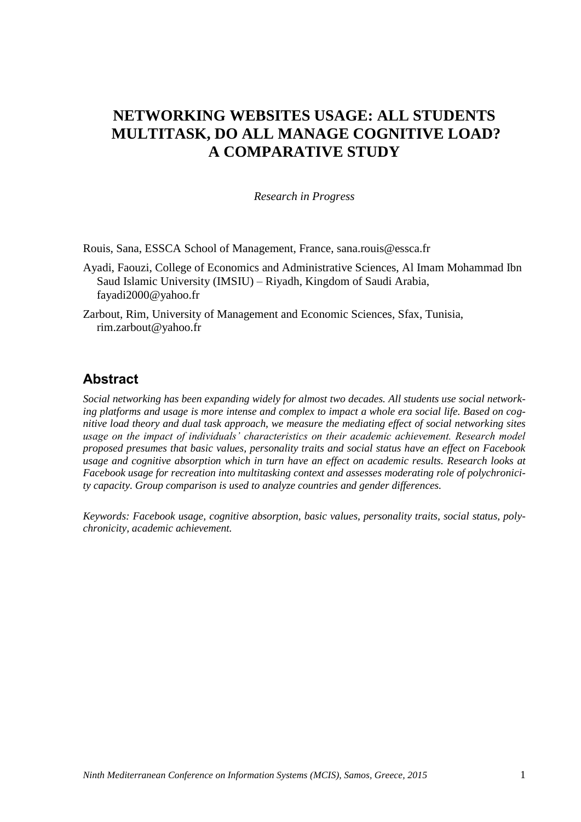# **NETWORKING WEBSITES USAGE: ALL STUDENTS MULTITASK, DO ALL MANAGE COGNITIVE LOAD? A COMPARATIVE STUDY**

*Research in Progress*

Rouis, Sana, ESSCA School of Management, France, sana.rouis@essca.fr

Ayadi, Faouzi, College of Economics and Administrative Sciences, Al Imam Mohammad Ibn Saud Islamic University (IMSIU) – Riyadh, Kingdom of Saudi Arabia, fayadi2000@yahoo.fr

Zarbout, Rim, University of Management and Economic Sciences, Sfax, Tunisia, rim.zarbout@yahoo.fr

# **Abstract**

*Social networking has been expanding widely for almost two decades. All students use social networking platforms and usage is more intense and complex to impact a whole era social life. Based on cognitive load theory and dual task approach, we measure the mediating effect of social networking sites*  usage on the impact of individuals' characteristics on their academic achievement. Research model *proposed presumes that basic values, personality traits and social status have an effect on Facebook usage and cognitive absorption which in turn have an effect on academic results. Research looks at Facebook usage for recreation into multitasking context and assesses moderating role of polychronicity capacity. Group comparison is used to analyze countries and gender differences.*

*Keywords: Facebook usage, cognitive absorption, basic values, personality traits, social status, polychronicity, academic achievement.*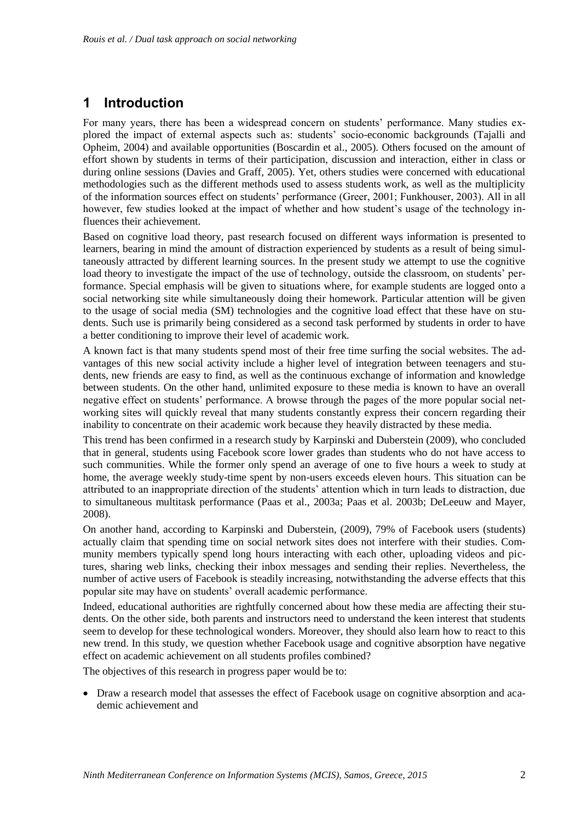# **1 Introduction**

For many years, there has been a widespread concern on students' performance. Many studies explored the impact of external aspects such as: students' socio-economic backgrounds (Tajalli and Opheim, 2004) and available opportunities (Boscardin et al., 2005). Others focused on the amount of effort shown by students in terms of their participation, discussion and interaction, either in class or during online sessions (Davies and Graff, 2005). Yet, others studies were concerned with educational methodologies such as the different methods used to assess students work, as well as the multiplicity of the information sources effect on students' performance (Greer, 2001; Funkhouser, 2003). All in all however, few studies looked at the impact of whether and how student's usage of the technology influences their achievement.

Based on cognitive load theory, past research focused on different ways information is presented to learners, bearing in mind the amount of distraction experienced by students as a result of being simultaneously attracted by different learning sources. In the present study we attempt to use the cognitive load theory to investigate the impact of the use of technology, outside the classroom, on students' performance. Special emphasis will be given to situations where, for example students are logged onto a social networking site while simultaneously doing their homework. Particular attention will be given to the usage of social media (SM) technologies and the cognitive load effect that these have on students. Such use is primarily being considered as a second task performed by students in order to have a better conditioning to improve their level of academic work.

A known fact is that many students spend most of their free time surfing the social websites. The advantages of this new social activity include a higher level of integration between teenagers and students, new friends are easy to find, as well as the continuous exchange of information and knowledge between students. On the other hand, unlimited exposure to these media is known to have an overall negative effect on students' performance. A browse through the pages of the more popular social networking sites will quickly reveal that many students constantly express their concern regarding their inability to concentrate on their academic work because they heavily distracted by these media.

This trend has been confirmed in a research study by Karpinski and Duberstein (2009), who concluded that in general, students using Facebook score lower grades than students who do not have access to such communities. While the former only spend an average of one to five hours a week to study at home, the average weekly study-time spent by non-users exceeds eleven hours. This situation can be attributed to an inappropriate direction of the students' attention which in turn leads to distraction, due to simultaneous multitask performance (Paas et al., 2003a; Paas et al. 2003b; DeLeeuw and Mayer, 2008).

On another hand, according to Karpinski and Duberstein, (2009), 79% of Facebook users (students) actually claim that spending time on social network sites does not interfere with their studies. Community members typically spend long hours interacting with each other, uploading videos and pictures, sharing web links, checking their inbox messages and sending their replies. Nevertheless, the number of active users of Facebook is steadily increasing, notwithstanding the adverse effects that this popular site may have on students' overall academic performance.

Indeed, educational authorities are rightfully concerned about how these media are affecting their students. On the other side, both parents and instructors need to understand the keen interest that students seem to develop for these technological wonders. Moreover, they should also learn how to react to this new trend. In this study, we question whether Facebook usage and cognitive absorption have negative effect on academic achievement on all students profiles combined?

The objectives of this research in progress paper would be to:

 Draw a research model that assesses the effect of Facebook usage on cognitive absorption and academic achievement and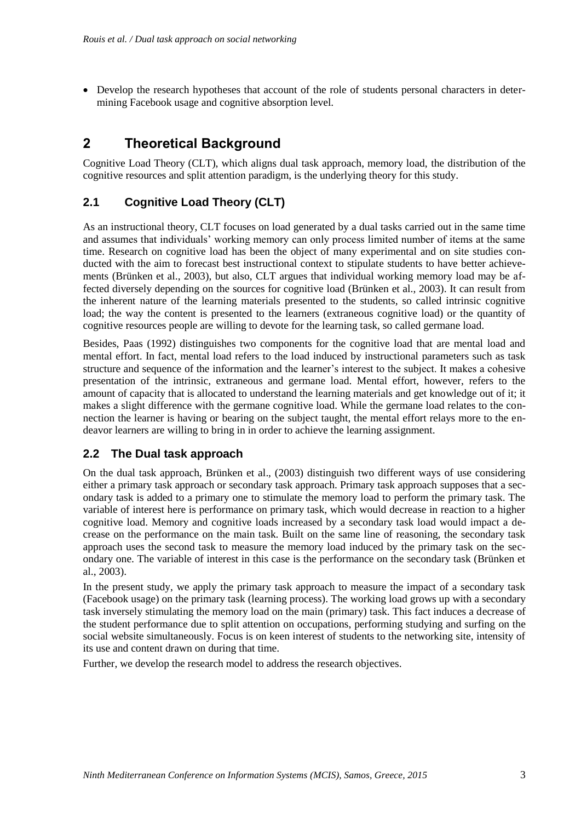Develop the research hypotheses that account of the role of students personal characters in determining Facebook usage and cognitive absorption level.

# **2 Theoretical Background**

Cognitive Load Theory (CLT), which aligns dual task approach, memory load, the distribution of the cognitive resources and split attention paradigm, is the underlying theory for this study.

### **2.1 Cognitive Load Theory (CLT)**

As an instructional theory, CLT focuses on load generated by a dual tasks carried out in the same time and assumes that individuals' working memory can only process limited number of items at the same time. Research on cognitive load has been the object of many experimental and on site studies conducted with the aim to forecast best instructional context to stipulate students to have better achievements (Brünken et al., 2003), but also, CLT argues that individual working memory load may be affected diversely depending on the sources for cognitive load (Brünken et al., 2003). It can result from the inherent nature of the learning materials presented to the students, so called intrinsic cognitive load; the way the content is presented to the learners (extraneous cognitive load) or the quantity of cognitive resources people are willing to devote for the learning task, so called germane load.

Besides, Paas (1992) distinguishes two components for the cognitive load that are mental load and mental effort. In fact, mental load refers to the load induced by instructional parameters such as task structure and sequence of the information and the learner's interest to the subject. It makes a cohesive presentation of the intrinsic, extraneous and germane load. Mental effort, however, refers to the amount of capacity that is allocated to understand the learning materials and get knowledge out of it; it makes a slight difference with the germane cognitive load. While the germane load relates to the connection the learner is having or bearing on the subject taught, the mental effort relays more to the endeavor learners are willing to bring in in order to achieve the learning assignment.

#### **2.2 The Dual task approach**

On the dual task approach, Brünken et al., (2003) distinguish two different ways of use considering either a primary task approach or secondary task approach. Primary task approach supposes that a secondary task is added to a primary one to stimulate the memory load to perform the primary task. The variable of interest here is performance on primary task, which would decrease in reaction to a higher cognitive load. Memory and cognitive loads increased by a secondary task load would impact a decrease on the performance on the main task. Built on the same line of reasoning, the secondary task approach uses the second task to measure the memory load induced by the primary task on the secondary one. The variable of interest in this case is the performance on the secondary task (Brünken et al., 2003).

In the present study, we apply the primary task approach to measure the impact of a secondary task (Facebook usage) on the primary task (learning process). The working load grows up with a secondary task inversely stimulating the memory load on the main (primary) task. This fact induces a decrease of the student performance due to split attention on occupations, performing studying and surfing on the social website simultaneously. Focus is on keen interest of students to the networking site, intensity of its use and content drawn on during that time.

Further, we develop the research model to address the research objectives.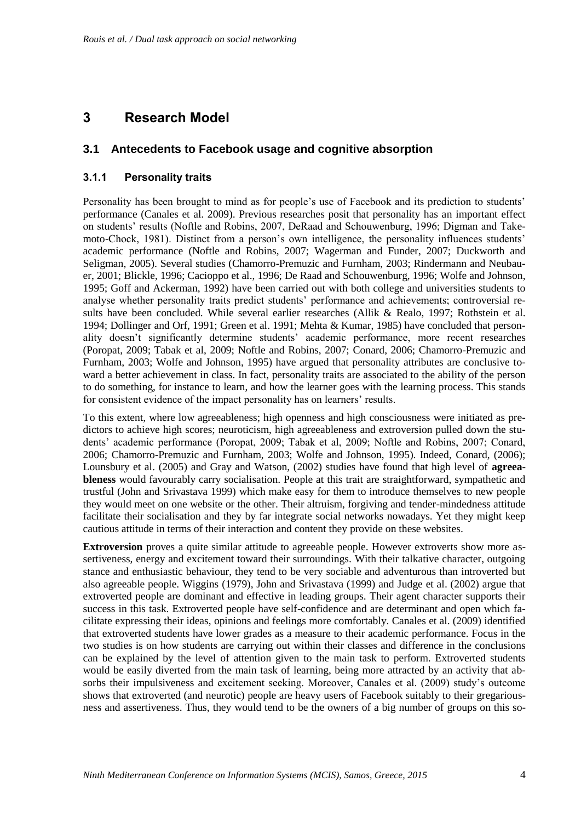# **3 Research Model**

#### **3.1 Antecedents to Facebook usage and cognitive absorption**

#### **3.1.1 Personality traits**

Personality has been brought to mind as for people's use of Facebook and its prediction to students' performance (Canales et al. 2009). Previous researches posit that personality has an important effect on students' results (Noftle and Robins, 2007, DeRaad and Schouwenburg, 1996; Digman and Takemoto-Chock, 1981). Distinct from a person's own intelligence, the personality influences students' academic performance (Noftle and Robins, 2007; Wagerman and Funder, 2007; Duckworth and Seligman, 2005). Several studies (Chamorro-Premuzic and Furnham, 2003; Rindermann and Neubauer, 2001; Blickle, 1996; Cacioppo et al., 1996; De Raad and Schouwenburg, 1996; Wolfe and Johnson, 1995; Goff and Ackerman, 1992) have been carried out with both college and universities students to analyse whether personality traits predict students' performance and achievements; controversial results have been concluded. While several earlier researches (Allik & Realo, 1997; Rothstein et al. 1994; Dollinger and Orf, 1991; Green et al. 1991; Mehta & Kumar, 1985) have concluded that personality doesn't significantly determine students' academic performance, more recent researches (Poropat, 2009; Tabak et al, 2009; Noftle and Robins, 2007; Conard, 2006; Chamorro-Premuzic and Furnham, 2003; Wolfe and Johnson, 1995) have argued that personality attributes are conclusive toward a better achievement in class. In fact, personality traits are associated to the ability of the person to do something, for instance to learn, and how the learner goes with the learning process. This stands for consistent evidence of the impact personality has on learners' results.

To this extent, where low agreeableness; high openness and high consciousness were initiated as predictors to achieve high scores; neuroticism, high agreeableness and extroversion pulled down the students' academic performance (Poropat, 2009; Tabak et al, 2009; Noftle and Robins, 2007; Conard, 2006; Chamorro-Premuzic and Furnham, 2003; Wolfe and Johnson, 1995). Indeed, Conard, (2006); Lounsbury et al. (2005) and Gray and Watson, (2002) studies have found that high level of **agreeableness** would favourably carry socialisation. People at this trait are straightforward, sympathetic and trustful (John and Srivastava 1999) which make easy for them to introduce themselves to new people they would meet on one website or the other. Their altruism, forgiving and tender-mindedness attitude facilitate their socialisation and they by far integrate social networks nowadays. Yet they might keep cautious attitude in terms of their interaction and content they provide on these websites.

**Extroversion** proves a quite similar attitude to agreeable people. However extroverts show more assertiveness, energy and excitement toward their surroundings. With their talkative character, outgoing stance and enthusiastic behaviour, they tend to be very sociable and adventurous than introverted but also agreeable people. Wiggins (1979), John and Srivastava (1999) and Judge et al. (2002) argue that extroverted people are dominant and effective in leading groups. Their agent character supports their success in this task. Extroverted people have self-confidence and are determinant and open which facilitate expressing their ideas, opinions and feelings more comfortably. Canales et al. (2009) identified that extroverted students have lower grades as a measure to their academic performance. Focus in the two studies is on how students are carrying out within their classes and difference in the conclusions can be explained by the level of attention given to the main task to perform. Extroverted students would be easily diverted from the main task of learning, being more attracted by an activity that absorbs their impulsiveness and excitement seeking. Moreover, Canales et al. (2009) study's outcome shows that extroverted (and neurotic) people are heavy users of Facebook suitably to their gregariousness and assertiveness. Thus, they would tend to be the owners of a big number of groups on this so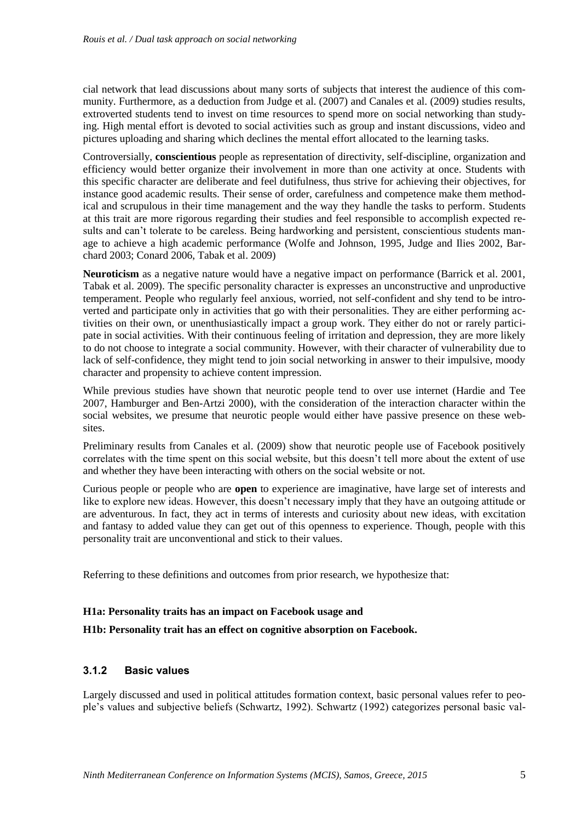cial network that lead discussions about many sorts of subjects that interest the audience of this community. Furthermore, as a deduction from Judge et al. (2007) and Canales et al. (2009) studies results, extroverted students tend to invest on time resources to spend more on social networking than studying. High mental effort is devoted to social activities such as group and instant discussions, video and pictures uploading and sharing which declines the mental effort allocated to the learning tasks.

Controversially, **conscientious** people as representation of directivity, self-discipline, organization and efficiency would better organize their involvement in more than one activity at once. Students with this specific character are deliberate and feel dutifulness, thus strive for achieving their objectives, for instance good academic results. Their sense of order, carefulness and competence make them methodical and scrupulous in their time management and the way they handle the tasks to perform. Students at this trait are more rigorous regarding their studies and feel responsible to accomplish expected results and can't tolerate to be careless. Being hardworking and persistent, conscientious students manage to achieve a high academic performance (Wolfe and Johnson, 1995, Judge and Ilies 2002, Barchard 2003; Conard 2006, Tabak et al. 2009)

**Neuroticism** as a negative nature would have a negative impact on performance (Barrick et al. 2001, Tabak et al. 2009). The specific personality character is expresses an unconstructive and unproductive temperament. People who regularly feel anxious, worried, not self-confident and shy tend to be introverted and participate only in activities that go with their personalities. They are either performing activities on their own, or unenthusiastically impact a group work. They either do not or rarely participate in social activities. With their continuous feeling of irritation and depression, they are more likely to do not choose to integrate a social community. However, with their character of vulnerability due to lack of self-confidence, they might tend to join social networking in answer to their impulsive, moody character and propensity to achieve content impression.

While previous studies have shown that neurotic people tend to over use internet (Hardie and Tee 2007, Hamburger and Ben-Artzi 2000), with the consideration of the interaction character within the social websites, we presume that neurotic people would either have passive presence on these websites.

Preliminary results from Canales et al. (2009) show that neurotic people use of Facebook positively correlates with the time spent on this social website, but this doesn't tell more about the extent of use and whether they have been interacting with others on the social website or not.

Curious people or people who are **open** to experience are imaginative, have large set of interests and like to explore new ideas. However, this doesn't necessary imply that they have an outgoing attitude or are adventurous. In fact, they act in terms of interests and curiosity about new ideas, with excitation and fantasy to added value they can get out of this openness to experience. Though, people with this personality trait are unconventional and stick to their values.

Referring to these definitions and outcomes from prior research, we hypothesize that:

#### **H1a: Personality traits has an impact on Facebook usage and**

#### **H1b: Personality trait has an effect on cognitive absorption on Facebook.**

#### **3.1.2 Basic values**

Largely discussed and used in political attitudes formation context, basic personal values refer to people's values and subjective beliefs (Schwartz, 1992). Schwartz (1992) categorizes personal basic val-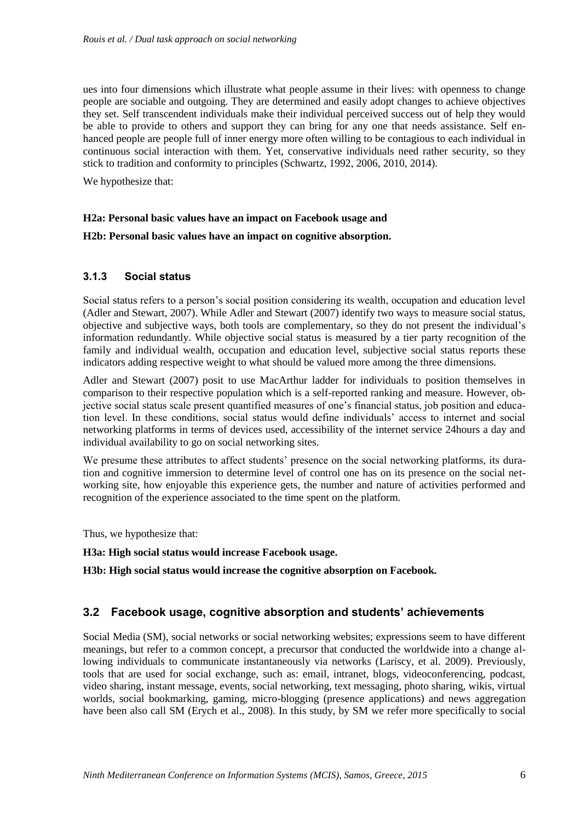ues into four dimensions which illustrate what people assume in their lives: with openness to change people are sociable and outgoing. They are determined and easily adopt changes to achieve objectives they set. Self transcendent individuals make their individual perceived success out of help they would be able to provide to others and support they can bring for any one that needs assistance. Self enhanced people are people full of inner energy more often willing to be contagious to each individual in continuous social interaction with them. Yet, conservative individuals need rather security, so they stick to tradition and conformity to principles (Schwartz, 1992, 2006, 2010, 2014).

We hypothesize that:

#### **H2a: Personal basic values have an impact on Facebook usage and**

#### **H2b: Personal basic values have an impact on cognitive absorption.**

#### **3.1.3 Social status**

Social status refers to a person's social position considering its wealth, occupation and education level (Adler and Stewart, 2007). While Adler and Stewart (2007) identify two ways to measure social status, objective and subjective ways, both tools are complementary, so they do not present the individual's information redundantly. While objective social status is measured by a tier party recognition of the family and individual wealth, occupation and education level, subjective social status reports these indicators adding respective weight to what should be valued more among the three dimensions.

Adler and Stewart (2007) posit to use MacArthur ladder for individuals to position themselves in comparison to their respective population which is a self-reported ranking and measure. However, objective social status scale present quantified measures of one's financial status, job position and education level. In these conditions, social status would define individuals' access to internet and social networking platforms in terms of devices used, accessibility of the internet service 24hours a day and individual availability to go on social networking sites.

We presume these attributes to affect students' presence on the social networking platforms, its duration and cognitive immersion to determine level of control one has on its presence on the social networking site, how enjoyable this experience gets, the number and nature of activities performed and recognition of the experience associated to the time spent on the platform.

Thus, we hypothesize that:

#### **H3a: High social status would increase Facebook usage.**

**H3b: High social status would increase the cognitive absorption on Facebook.**

#### **3.2 Facebook usage, cognitive absorption and students' achievements**

Social Media (SM), social networks or social networking websites; expressions seem to have different meanings, but refer to a common concept, a precursor that conducted the worldwide into a change allowing individuals to communicate instantaneously via networks (Lariscy, et al. 2009). Previously, tools that are used for social exchange, such as: email, intranet, blogs, videoconferencing, podcast, video sharing, instant message, events, social networking, text messaging, photo sharing, wikis, virtual worlds, social bookmarking, gaming, micro-blogging (presence applications) and news aggregation have been also call SM (Erych et al., 2008). In this study, by SM we refer more specifically to social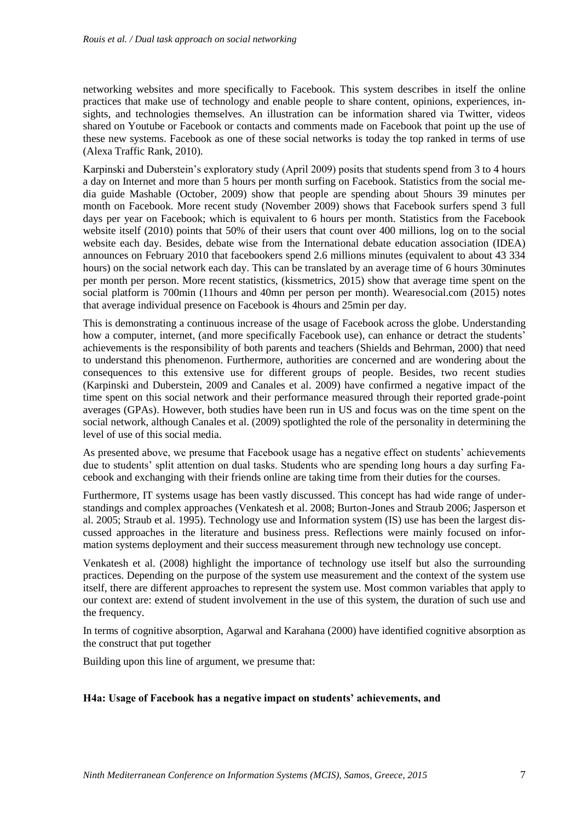networking websites and more specifically to Facebook. This system describes in itself the online practices that make use of technology and enable people to share content, opinions, experiences, insights, and technologies themselves. An illustration can be information shared via Twitter, videos shared on Youtube or Facebook or contacts and comments made on Facebook that point up the use of these new systems. Facebook as one of these social networks is today the top ranked in terms of use (Alexa Traffic Rank, 2010).

Karpinski and Duberstein's exploratory study (April 2009) posits that students spend from 3 to 4 hours a day on Internet and more than 5 hours per month surfing on Facebook. Statistics from the social media guide Mashable (October, 2009) show that people are spending about 5hours 39 minutes per month on Facebook. More recent study (November 2009) shows that Facebook surfers spend 3 full days per year on Facebook; which is equivalent to 6 hours per month. Statistics from the Facebook website itself (2010) points that 50% of their users that count over 400 millions, log on to the social website each day. Besides, debate wise from the International debate education association (IDEA) announces on February 2010 that facebookers spend 2.6 millions minutes (equivalent to about 43 334 hours) on the social network each day. This can be translated by an average time of 6 hours 30minutes per month per person. More recent statistics, (kissmetrics, 2015) show that average time spent on the social platform is 700min (11hours and 40mn per person per month). Wearesocial.com (2015) notes that average individual presence on Facebook is 4hours and 25min per day.

This is demonstrating a continuous increase of the usage of Facebook across the globe. Understanding how a computer, internet, (and more specifically Facebook use), can enhance or detract the students' achievements is the responsibility of both parents and teachers (Shields and Behrman, 2000) that need to understand this phenomenon. Furthermore, authorities are concerned and are wondering about the consequences to this extensive use for different groups of people. Besides, two recent studies (Karpinski and Duberstein, 2009 and Canales et al. 2009) have confirmed a negative impact of the time spent on this social network and their performance measured through their reported grade-point averages (GPAs). However, both studies have been run in US and focus was on the time spent on the social network, although Canales et al. (2009) spotlighted the role of the personality in determining the level of use of this social media.

As presented above, we presume that Facebook usage has a negative effect on students' achievements due to students' split attention on dual tasks. Students who are spending long hours a day surfing Facebook and exchanging with their friends online are taking time from their duties for the courses.

Furthermore, IT systems usage has been vastly discussed. This concept has had wide range of understandings and complex approaches (Venkatesh et al. 2008; Burton-Jones and Straub 2006; Jasperson et al. 2005; Straub et al. 1995). Technology use and Information system (IS) use has been the largest discussed approaches in the literature and business press. Reflections were mainly focused on information systems deployment and their success measurement through new technology use concept.

Venkatesh et al. (2008) highlight the importance of technology use itself but also the surrounding practices. Depending on the purpose of the system use measurement and the context of the system use itself, there are different approaches to represent the system use. Most common variables that apply to our context are: extend of student involvement in the use of this system, the duration of such use and the frequency.

In terms of cognitive absorption, Agarwal and Karahana (2000) have identified cognitive absorption as the construct that put together

Building upon this line of argument, we presume that:

#### **H4a: Usage of Facebook has a negative impact on students' achievements, and**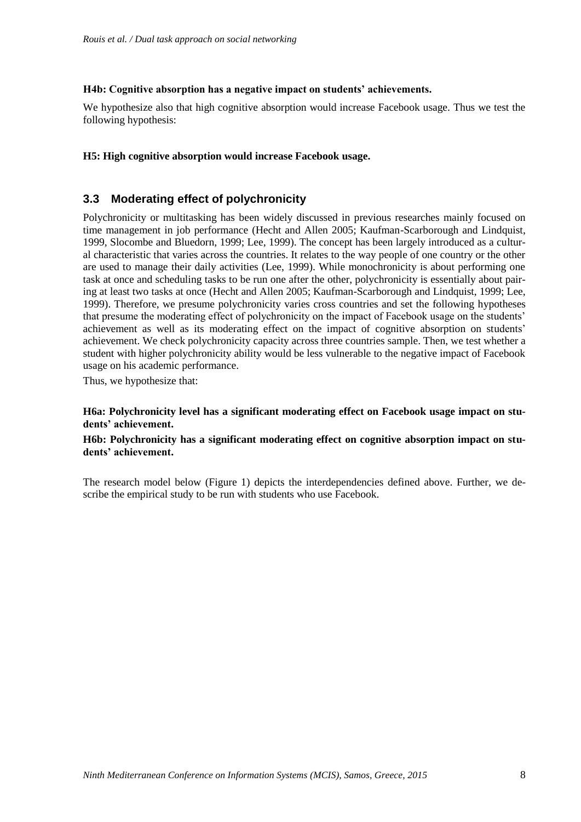#### **H4b: Cognitive absorption has a negative impact on students' achievements.**

We hypothesize also that high cognitive absorption would increase Facebook usage. Thus we test the following hypothesis:

#### **H5: High cognitive absorption would increase Facebook usage.**

#### **3.3 Moderating effect of polychronicity**

Polychronicity or multitasking has been widely discussed in previous researches mainly focused on time management in job performance (Hecht and Allen 2005; Kaufman-Scarborough and Lindquist, 1999, Slocombe and Bluedorn, 1999; Lee, 1999). The concept has been largely introduced as a cultural characteristic that varies across the countries. It relates to the way people of one country or the other are used to manage their daily activities (Lee, 1999). While monochronicity is about performing one task at once and scheduling tasks to be run one after the other, polychronicity is essentially about pairing at least two tasks at once (Hecht and Allen 2005; Kaufman-Scarborough and Lindquist, 1999; Lee, 1999). Therefore, we presume polychronicity varies cross countries and set the following hypotheses that presume the moderating effect of polychronicity on the impact of Facebook usage on the students' achievement as well as its moderating effect on the impact of cognitive absorption on students' achievement. We check polychronicity capacity across three countries sample. Then, we test whether a student with higher polychronicity ability would be less vulnerable to the negative impact of Facebook usage on his academic performance.

Thus, we hypothesize that:

**H6a: Polychronicity level has a significant moderating effect on Facebook usage impact on students' achievement.**

#### **H6b: Polychronicity has a significant moderating effect on cognitive absorption impact on students' achievement.**

The research model below (Figure 1) depicts the interdependencies defined above. Further, we describe the empirical study to be run with students who use Facebook.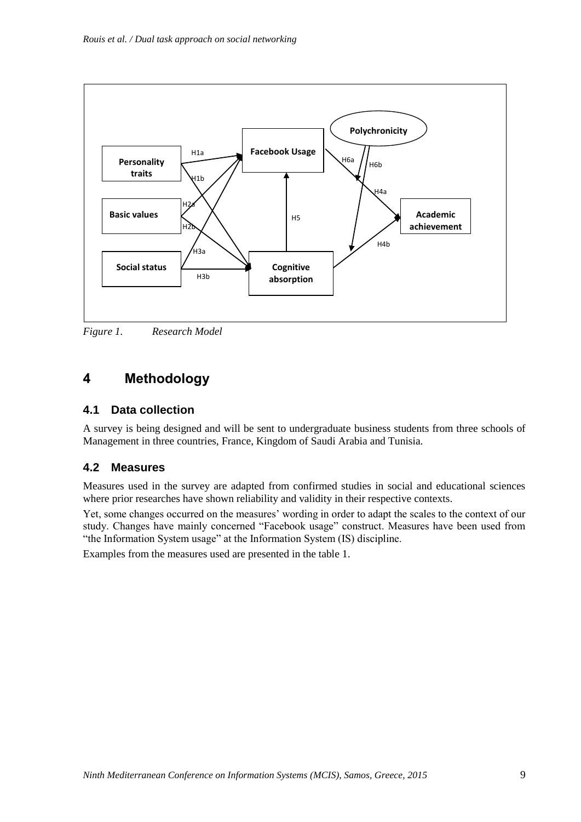

*Figure 1. Research Model*

# **4 Methodology**

### **4.1 Data collection**

A survey is being designed and will be sent to undergraduate business students from three schools of Management in three countries, France, Kingdom of Saudi Arabia and Tunisia.

### **4.2 Measures**

Measures used in the survey are adapted from confirmed studies in social and educational sciences where prior researches have shown reliability and validity in their respective contexts.

Yet, some changes occurred on the measures' wording in order to adapt the scales to the context of our study. Changes have mainly concerned "Facebook usage" construct. Measures have been used from "the Information System usage" at the Information System (IS) discipline.

Examples from the measures used are presented in the table 1.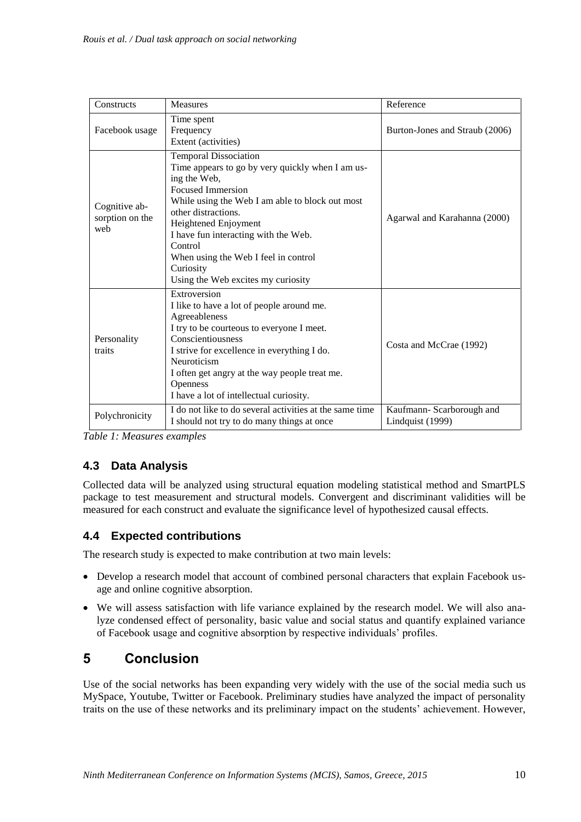| Constructs                              | <b>Measures</b>                                                                                                                                                                                                                                                                                                                                                              | Reference                                    |
|-----------------------------------------|------------------------------------------------------------------------------------------------------------------------------------------------------------------------------------------------------------------------------------------------------------------------------------------------------------------------------------------------------------------------------|----------------------------------------------|
| Facebook usage                          | Time spent<br>Frequency<br>Extent (activities)                                                                                                                                                                                                                                                                                                                               | Burton-Jones and Straub (2006)               |
| Cognitive ab-<br>sorption on the<br>web | <b>Temporal Dissociation</b><br>Time appears to go by very quickly when I am us-<br>ing the Web,<br><b>Focused Immersion</b><br>While using the Web I am able to block out most<br>other distractions.<br>Heightened Enjoyment<br>I have fun interacting with the Web.<br>Control<br>When using the Web I feel in control<br>Curiosity<br>Using the Web excites my curiosity | Agarwal and Karahanna (2000)                 |
| Personality<br>traits                   | Extroversion<br>I like to have a lot of people around me.<br>Agreeableness<br>I try to be courteous to everyone I meet.<br>Conscientiousness<br>I strive for excellence in everything I do.<br>Neuroticism<br>I often get angry at the way people treat me.<br>Openness<br>I have a lot of intellectual curiosity.                                                           | Costa and McCrae (1992)                      |
| Polychronicity                          | I do not like to do several activities at the same time<br>I should not try to do many things at once                                                                                                                                                                                                                                                                        | Kaufmann-Scarborough and<br>Lindquist (1999) |

*Table 1: Measures examples*

### **4.3 Data Analysis**

Collected data will be analyzed using structural equation modeling statistical method and SmartPLS package to test measurement and structural models. Convergent and discriminant validities will be measured for each construct and evaluate the significance level of hypothesized causal effects.

#### **4.4 Expected contributions**

The research study is expected to make contribution at two main levels:

- Develop a research model that account of combined personal characters that explain Facebook usage and online cognitive absorption.
- We will assess satisfaction with life variance explained by the research model. We will also analyze condensed effect of personality, basic value and social status and quantify explained variance of Facebook usage and cognitive absorption by respective individuals' profiles.

# **5 Conclusion**

Use of the social networks has been expanding very widely with the use of the social media such us MySpace, Youtube, Twitter or Facebook. Preliminary studies have analyzed the impact of personality traits on the use of these networks and its preliminary impact on the students' achievement. However,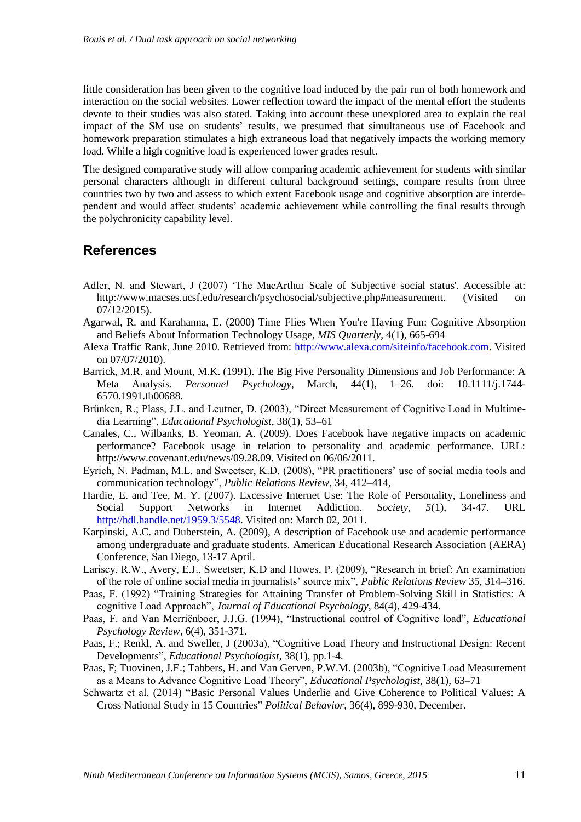little consideration has been given to the cognitive load induced by the pair run of both homework and interaction on the social websites. Lower reflection toward the impact of the mental effort the students devote to their studies was also stated. Taking into account these unexplored area to explain the real impact of the SM use on students' results, we presumed that simultaneous use of Facebook and homework preparation stimulates a high extraneous load that negatively impacts the working memory load. While a high cognitive load is experienced lower grades result.

The designed comparative study will allow comparing academic achievement for students with similar personal characters although in different cultural background settings, compare results from three countries two by two and assess to which extent Facebook usage and cognitive absorption are interdependent and would affect students' academic achievement while controlling the final results through the polychronicity capability level.

## **References**

- Adler, N. and Stewart, J (2007) 'The MacArthur Scale of Subjective social status'. Accessible at: [http://www.macses.ucsf.edu/research/psychosocial/subjective.php#measurement.](http://www.macses.ucsf.edu/research/psychosocial/subjective.php#measurement) (Visited 07/12/2015).
- Agarwal, R. and Karahanna, E. (2000) Time Flies When You're Having Fun: Cognitive Absorption and Beliefs About Information Technology Usage, *MIS Quarterly*, 4(1), 665-694
- Alexa Traffic Rank, June 2010. Retrieved from: [http://www.alexa.com/siteinfo/facebook.com.](http://www.alexa.com/siteinfo/facebook.com) Visited on 07/07/2010).
- Barrick, M.R. and Mount, M.K. (1991). The Big Five Personality Dimensions and Job Performance: A Meta Analysis. *Personnel Psychology*, March, 44(1), 1–26. doi: 10.1111/j.1744- 6570.1991.tb00688.
- Brünken, R.; Plass, J.L. and Leutner, D. (2003), "Direct Measurement of Cognitive Load in Multimedia Learning", *Educational Psychologist*, 38(1), 53–61
- Canales, C., Wilbanks, B. Yeoman, A. (2009). Does Facebook have negative impacts on academic performance? Facebook usage in relation to personality and academic performance. URL: http://www.covenant.edu/news/09.28.09. Visited on 06/06/2011.
- Eyrich, N. Padman, M.L. and Sweetser, K.D. (2008), "PR practitioners' use of social media tools and communication technology", *Public Relations Review*, 34, 412–414,
- Hardie, E. and Tee, M. Y. (2007). Excessive Internet Use: The Role of Personality, Loneliness and Social Support Networks in Internet Addiction. *Society*, *5*(1), 34-47. URL http://hdl.handle.net/1959.3/5548. Visited on: March 02, 2011.
- Karpinski, A.C. and Duberstein, A. (2009), A description of Facebook use and academic performance among undergraduate and graduate students. American Educational Research Association (AERA) Conference, San Diego, 13-17 April.
- Lariscy, R.W., Avery, E.J., Sweetser, K.D and Howes, P. (2009), "Research in brief: An examination of the role of online social media in journalists' source mix", *Public Relations Review* 35, 314–316.
- Paas, F. (1992) "Training Strategies for Attaining Transfer of Problem-Solving Skill in Statistics: A cognitive Load Approach", *Journal of Educational Psychology,* 84(4), 429-434.
- Paas, F. and Van Merriënboer, J.J.G. (1994), "Instructional control of Cognitive load", *Educational Psychology Review,* 6(4), 351-371.
- Paas, F.; Renkl, A. and Sweller, J (2003a), "Cognitive Load Theory and Instructional Design: Recent Developments", *Educational Psychologist*, 38(1), pp.1-4.
- Paas, F; Tuovinen, J.E.; Tabbers, H. and Van Gerven, P.W.M. (2003b), "Cognitive Load Measurement as a Means to Advance Cognitive Load Theory", *Educational Psychologist*, 38(1), 63–71
- Schwartz et al. (2014) "Basic Personal Values Underlie and Give Coherence to Political Values: A Cross National Study in 15 Countries" *Political Behavior*, 36(4), 899-930, December.